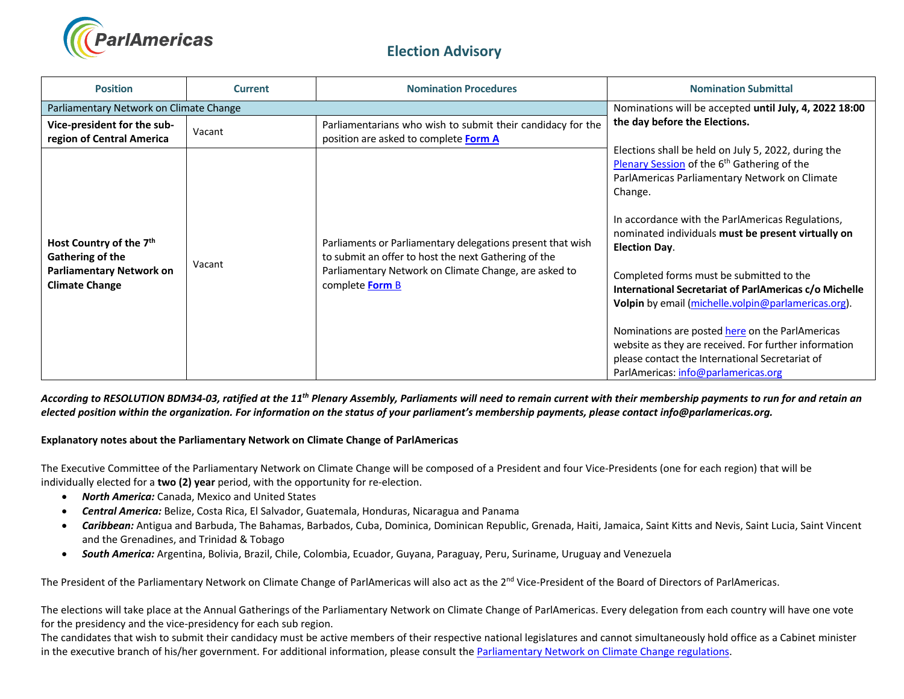

## **Election Advisory**

| <b>Position</b>                                                                                                     | <b>Current</b> | <b>Nomination Procedures</b>                                                                                                                                                                   | <b>Nomination Submittal</b>                                                                                                                                                                                                                                                                                                                                                                                                                                                                                                                                                                                                                                                     |  |
|---------------------------------------------------------------------------------------------------------------------|----------------|------------------------------------------------------------------------------------------------------------------------------------------------------------------------------------------------|---------------------------------------------------------------------------------------------------------------------------------------------------------------------------------------------------------------------------------------------------------------------------------------------------------------------------------------------------------------------------------------------------------------------------------------------------------------------------------------------------------------------------------------------------------------------------------------------------------------------------------------------------------------------------------|--|
| Parliamentary Network on Climate Change                                                                             |                | Nominations will be accepted until July, 4, 2022 18:00                                                                                                                                         |                                                                                                                                                                                                                                                                                                                                                                                                                                                                                                                                                                                                                                                                                 |  |
| Vice-president for the sub-<br>region of Central America                                                            | Vacant         | Parliamentarians who wish to submit their candidacy for the<br>position are asked to complete Form A                                                                                           | the day before the Elections.                                                                                                                                                                                                                                                                                                                                                                                                                                                                                                                                                                                                                                                   |  |
| Host Country of the 7 <sup>th</sup><br>Gathering of the<br><b>Parliamentary Network on</b><br><b>Climate Change</b> | Vacant         | Parliaments or Parliamentary delegations present that wish<br>to submit an offer to host the next Gathering of the<br>Parliamentary Network on Climate Change, are asked to<br>complete Form B | Elections shall be held on July 5, 2022, during the<br>Plenary Session of the 6 <sup>th</sup> Gathering of the<br>ParlAmericas Parliamentary Network on Climate<br>Change.<br>In accordance with the ParlAmericas Regulations,<br>nominated individuals must be present virtually on<br><b>Election Day.</b><br>Completed forms must be submitted to the<br>International Secretariat of ParlAmericas c/o Michelle<br>Volpin by email (michelle.volpin@parlamericas.org).<br>Nominations are posted here on the ParlAmericas<br>website as they are received. For further information<br>please contact the International Secretariat of<br>ParlAmericas: info@parlamericas.org |  |

*According to RESOLUTION BDM34-03, ratified at the 11th Plenary Assembly, Parliaments will need to remain current with their membership payments to run for and retain an elected position within the organization. For information on the status of your parliament's membership payments, please contact info@parlamericas.org.* 

**Explanatory notes about the Parliamentary Network on Climate Change of ParlAmericas** 

The Executive Committee of the Parliamentary Network on Climate Change will be composed of a President and four Vice-Presidents (one for each region) that will be individually elected for a **two (2) year** period, with the opportunity for re-election.

- *North America:* Canada, Mexico and United States
- *Central America:* Belize, Costa Rica, El Salvador, Guatemala, Honduras, Nicaragua and Panama
- *Caribbean:* Antigua and Barbuda, The Bahamas, Barbados, Cuba, Dominica, Dominican Republic, Grenada, Haiti, Jamaica, Saint Kitts and Nevis, Saint Lucia, Saint Vincent and the Grenadines, and Trinidad & Tobago
- *South America:* Argentina, Bolivia, Brazil, Chile, Colombia, Ecuador, Guyana, Paraguay, Peru, Suriname, Uruguay and Venezuela

The President of the Parliamentary Network on Climate Change of ParlAmericas will also act as the 2<sup>nd</sup> Vice-President of the Board of Directors of ParlAmericas.

The elections will take place at the Annual Gatherings of the Parliamentary Network on Climate Change of ParlAmericas. Every delegation from each country will have one vote for the presidency and the vice-presidency for each sub region.

The candidates that wish to submit their candidacy must be active members of their respective national legislatures and cannot simultaneously hold office as a Cabinet minister in the executive branch of his/her government. For additional information, please consult th[e Parliamentary Network on Climate Change](http://www.parlamericas.org/uploads/documents/Regulations_%20Parliamentary_Network_on_Climate%20Change.pdf) regulations.